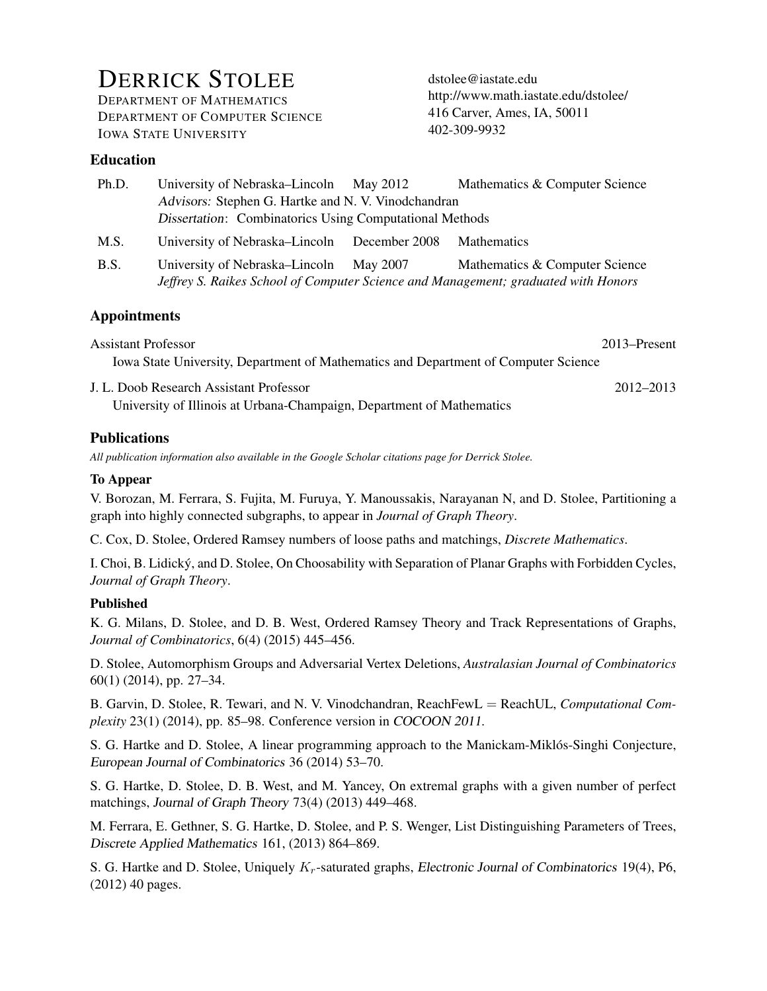# DERRICK STOLEE

DEPARTMENT OF MATHEMATICS DEPARTMENT OF COMPUTER SCIENCE IOWA STATE UNIVERSITY

[dstolee@iastate.edu](mailto:dstolee@iastate.edu) <http://www.math.iastate.edu/dstolee/> 416 Carver, Ames, IA, 50011 402-309-9932

## Education

| Ph.D.       | University of Nebraska–Lincoln May 2012                                            |          | Mathematics & Computer Science |  |
|-------------|------------------------------------------------------------------------------------|----------|--------------------------------|--|
|             | Advisors: Stephen G. Hartke and N. V. Vinodchandran                                |          |                                |  |
|             | <b>Dissertation:</b> Combinatorics Using Computational Methods                     |          |                                |  |
| M.S.        | University of Nebraska–Lincoln December 2008                                       |          | <b>Mathematics</b>             |  |
| <b>B.S.</b> | University of Nebraska–Lincoln                                                     | May 2007 | Mathematics & Computer Science |  |
|             | Jeffrey S. Raikes School of Computer Science and Management; graduated with Honors |          |                                |  |

## Appointments

Assistant Professor 2013–Present Iowa State University, Department of Mathematics and Department of Computer Science

J. L. Doob Research Assistant Professor 2012–2013 University of Illinois at Urbana-Champaign, Department of Mathematics

## **Publications**

*All publication information also available in the [Google Scholar citations page for Derrick Stolee.](http://scholar.google.com/citations?user=gefAi64AAAAJ)*

#### To Appear

V. Borozan, M. Ferrara, S. Fujita, M. Furuya, Y. Manoussakis, Narayanan N, and D. Stolee, [Partitioning a](http://orion.math.iastate.edu/dstolee/papers/BFFFMNS14-KProperPartition.pdf) [graph into highly connected subgraphs,](http://orion.math.iastate.edu/dstolee/papers/BFFFMNS14-KProperPartition.pdf) to appear in *Journal of Graph Theory*.

C. Cox, D. Stolee, [Ordered Ramsey numbers of loose paths and matchings,](http://orion.math.iastate.edu/dstolee/papers/CS14-ORLoosePaths.pdf) *Discrete Mathematics*.

I. Choi, B. Lidicky, and D. Stolee, [On Choosability with Separation of Planar Graphs with Forbidden Cycles,](http://orion.math.iastate.edu/dstolee/papers/CLS13-Choosability.pdf) ´ *Journal of Graph Theory*.

#### Published

K. G. Milans, D. Stolee, and D. B. West, [Ordered Ramsey Theory and Track Representations of Graphs,](http://orion.math.iastate.edu/dstolee/papers/MSW12-OrderedRamsey.pdf) *Journal of Combinatorics*, 6(4) (2015) 445–456.

D. Stolee, [Automorphism Groups and Adversarial Vertex Deletions,](http://orion.math.iastate.edu/dstolee/papers/Sto12-AutomGens.pdf) *Australasian Journal of Combinatorics* 60(1) (2014), pp. 27–34.

B. Garvin, D. Stolee, R. Tewari, and N. V. Vinodchandran, [ReachFewL](http://orion.math.iastate.edu/dstolee/papers/GSTV11-ReachFewL.pdf) = ReachUL, *Computational Complexity* 23(1) (2014), pp. 85–98. Conference version in COCOON 2011.

S. G. Hartke and D. Stolee, [A linear programming approach to the Manickam-Miklos-Singhi Conjecture,](http://orion.math.iastate.edu/dstolee/papers/HS13-MMSConjecture.pdf) ´ European Journal of Combinatorics 36 (2014) 53–70.

S. G. Hartke, D. Stolee, D. B. West, and M. Yancey, [On extremal graphs with a given number of perfect](http://orion.math.iastate.edu/dstolee/papers/HSWY11-ExtremalGraphs.pdf) [matchings,](http://orion.math.iastate.edu/dstolee/papers/HSWY11-ExtremalGraphs.pdf) Journal of Graph Theory 73(4) (2013) 449–468.

M. Ferrara, E. Gethner, S. G. Hartke, D. Stolee, and P. S. Wenger, [List Distinguishing Parameters of Trees,](http://orion.math.iastate.edu/dstolee/papers/FGHSW12-DistinguishingTrees.pdf) Discrete Applied Mathematics 161, (2013) 864–869.

S. G. Hartke and D. Stolee, Uniquely  $K_r$ [-saturated graphs,](http://orion.math.iastate.edu/dstolee/papers/HS12-UniqueSaturation.pdf) Electronic Journal of Combinatorics 19(4), P6, (2012) 40 pages.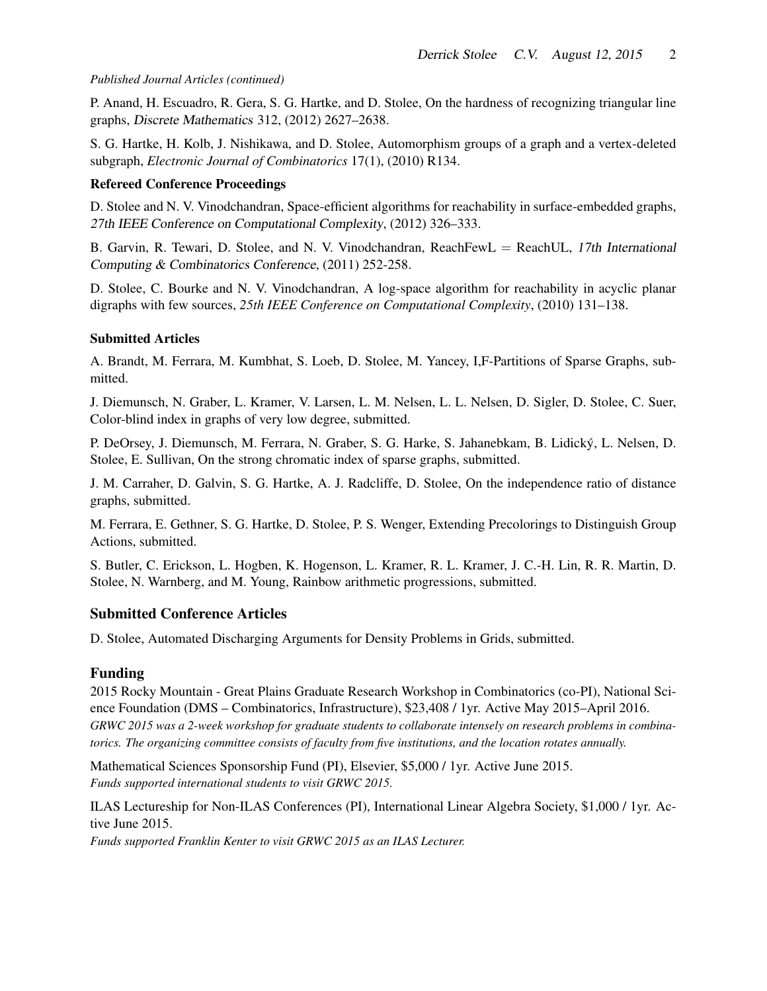#### *Published Journal Articles (continued)*

P. Anand, H. Escuadro, R. Gera, S. G. Hartke, and D. Stolee, [On the hardness of recognizing triangular line](http://orion.math.iastate.edu/dstolee/papers/AEGHS12-TriangularLineGraphs.pdf) [graphs,](http://orion.math.iastate.edu/dstolee/papers/AEGHS12-TriangularLineGraphs.pdf) Discrete Mathematics 312, (2012) 2627–2638.

S. G. Hartke, H. Kolb, J. Nishikawa, and D. Stolee, [Automorphism groups of a graph and a vertex-deleted](http://www.combinatorics.org/Volume_17/Abstracts/v17i1r134.html) [subgraph,](http://www.combinatorics.org/Volume_17/Abstracts/v17i1r134.html) *Electronic Journal of Combinatorics* 17(1), (2010) R134.

#### Refereed Conference Proceedings

D. Stolee and N. V. Vinodchandran, [Space-efficient algorithms for reachability in surface-embedded graphs,](http://orion.math.iastate.edu/dstolee/papers/SV12-SpaceEfficient.pdf) 27th IEEE Conference on Computational Complexity, (2012) 326–333.

B. Garvin, R. Tewari, D. Stolee, and N. V. Vinodchandran, [ReachFewL](http://orion.math.iastate.edu/dstolee/papers/GSTV11-ReachFewL.pdf) = ReachUL, 17th International Computing & Combinatorics Conference, (2011) 252-258.

D. Stolee, C. Bourke and N. V. Vinodchandran, [A log-space algorithm for reachability in acyclic planar](http://orion.math.iastate.edu/dstolee/papers/SBV10-LogspacePlanarDAGs.pdf) [digraphs with few sources,](http://orion.math.iastate.edu/dstolee/papers/SBV10-LogspacePlanarDAGs.pdf) *25th IEEE Conference on Computational Complexity*, (2010) 131–138.

#### Submitted Articles

A. Brandt, M. Ferrara, M. Kumbhat, S. Loeb, D. Stolee, M. Yancey, [I,F-Partitions of Sparse Graphs,](http://orion.math.iastate.edu/dstolee/papers/GRWC15-IFPartitions.pdf) submitted.

J. Diemunsch, N. Graber, L. Kramer, V. Larsen, L. M. Nelsen, L. L. Nelsen, D. Sigler, D. Stolee, C. Suer, [Color-blind index in graphs of very low degree,](http://orion.math.iastate.edu/dstolee/papers/GRWC14-CBI.pdf) submitted.

P. DeOrsey, J. Diemunsch, M. Ferrara, N. Graber, S. G. Harke, S. Jahanebkam, B. Lidicky, L. Nelsen, D. ´ Stolee, E. Sullivan, [On the strong chromatic index of sparse graphs,](http://orion.math.iastate.edu/dstolee/papers/GRWC14-SCI.pdf) submitted.

J. M. Carraher, D. Galvin, S. G. Hartke, A. J. Radcliffe, D. Stolee, [On the independence ratio of distance](http://orion.math.iastate.edu/dstolee/papers/CGHRS14-DistanceGraphs.pdf) [graphs,](http://orion.math.iastate.edu/dstolee/papers/CGHRS14-DistanceGraphs.pdf) submitted.

M. Ferrara, E. Gethner, S. G. Hartke, D. Stolee, P. S. Wenger, [Extending Precolorings to Distinguish Group](http://orion.math.iastate.edu/dstolee/papers/FGHSW14-DistinguishingExtension.pdf) [Actions,](http://orion.math.iastate.edu/dstolee/papers/FGHSW14-DistinguishingExtension.pdf) submitted.

S. Butler, C. Erickson, L. Hogben, K. Hogenson, L. Kramer, R. L. Kramer, J. C.-H. Lin, R. R. Martin, D. Stolee, N. Warnberg, and M. Young, [Rainbow arithmetic progressions,](http://orion.math.iastate.edu/dstolee/papers/DMWS14-RainbowAPs.pdf) submitted.

#### Submitted Conference Articles

D. Stolee, [Automated Discharging Arguments for Density Problems in Grids,](http://orion.math.iastate.edu/dstolee/papers/Sto15-ADAGEonGrids.pdf) submitted.

#### Funding

[2015 Rocky Mountain - Great Plains Graduate Research Workshop in Combinatorics](http://www.nsf.gov/awardsearch/showAward?AWD_ID=1500662&HistoricalAwards=false) (co-PI), National Science Foundation (DMS – Combinatorics, Infrastructure), \$23,408 / 1yr. Active May 2015–April 2016. *GRWC 2015 was a 2-week workshop for graduate students to collaborate intensely on research problems in combinatorics. The organizing committee consists of faculty from five institutions, and the location rotates annually.*

[Mathematical Sciences Sponsorship Fund](http://www.elsevier.com/physical-sciences/mathematics/awards) (PI), Elsevier, \$5,000 / 1yr. Active June 2015. *Funds supported international students to visit GRWC 2015.*

[ILAS Lectureship for Non-ILAS Conferences](http://www.ilasic.org/misc/non_ilas_guidelines.html) (PI), International Linear Algebra Society, \$1,000 / 1yr. Active June 2015.

*Funds supported Franklin Kenter to visit GRWC 2015 as an ILAS Lecturer.*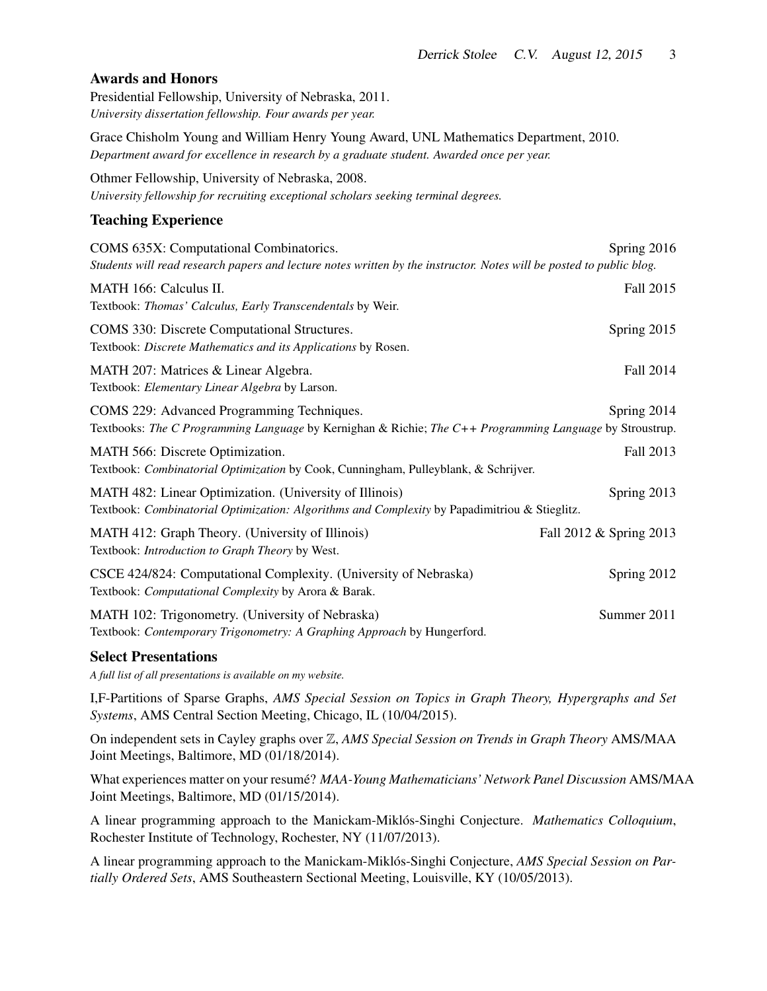#### Awards and Honors

[Presidential Fellowship,](http://www.unl.edu/gradstudies/current/funding/fellowships) University of Nebraska, 2011. *University dissertation fellowship. Four awards per year.*

[Grace Chisholm Young and William Henry Young Award,](http://www.math.unl.edu/department/awards/graduate/) UNL Mathematics Department, 2010. *Department award for excellence in research by a graduate student. Awarded once per year.*

[Othmer Fellowship,](http://arts.unl.edu/art/graduate-assistantships-and-fellowships) University of Nebraska, 2008. *University fellowship for recruiting exceptional scholars seeking terminal degrees.*

#### Teaching Experience

| COMS 635X: Computational Combinatorics.<br>Students will read research papers and lecture notes written by the instructor. Notes will be posted to public blog. | Spring 2016             |
|-----------------------------------------------------------------------------------------------------------------------------------------------------------------|-------------------------|
| MATH 166: Calculus II.<br>Textbook: Thomas' Calculus, Early Transcendentals by Weir.                                                                            | Fall 2015               |
| COMS 330: Discrete Computational Structures.<br>Textbook: Discrete Mathematics and its Applications by Rosen.                                                   | Spring 2015             |
| MATH 207: Matrices & Linear Algebra.<br>Textbook: Elementary Linear Algebra by Larson.                                                                          | Fall 2014               |
| COMS 229: Advanced Programming Techniques.<br>Textbooks: The C Programming Language by Kernighan & Richie; The C++ Programming Language by Stroustrup.          | Spring 2014             |
| MATH 566: Discrete Optimization.<br>Textbook: Combinatorial Optimization by Cook, Cunningham, Pulleyblank, & Schrijver.                                         | Fall 2013               |
| MATH 482: Linear Optimization. (University of Illinois)<br>Textbook: Combinatorial Optimization: Algorithms and Complexity by Papadimitriou & Stieglitz.        | Spring 2013             |
| MATH 412: Graph Theory. (University of Illinois)<br>Textbook: Introduction to Graph Theory by West.                                                             | Fall 2012 & Spring 2013 |
| CSCE 424/824: Computational Complexity. (University of Nebraska)<br>Textbook: Computational Complexity by Arora & Barak.                                        | Spring 2012             |
| MATH 102: Trigonometry. (University of Nebraska)<br>Textbook: Contemporary Trigonometry: A Graphing Approach by Hungerford.                                     | Summer 2011             |

#### Select Presentations

*A full list of all presentations is available [on my website.](http://orion.math.iastate.edu/dstolee/presentations/)*

I,F-Partitions of Sparse Graphs, *AMS Special Session on Topics in Graph Theory, Hypergraphs and Set Systems*, AMS Central Section Meeting, Chicago, IL (10/04/2015).

On independent sets in Cayley graphs over Z, *[AMS Special Session on Trends in Graph Theory](http://jointmathematicsmeetings.org/amsmtgs/2160_abstracts/1096-05-2349.pdf)* AMS/MAA Joint Meetings, Baltimore, MD (01/18/2014).

What experiences matter on your resume?´ *MAA-Young Mathematicians' Network Panel Discussion* AMS/MAA Joint Meetings, Baltimore, MD (01/15/2014).

A linear programming approach to the Manickam-Miklos-Singhi Conjecture. ´ *Mathematics Colloquium*, Rochester Institute of Technology, Rochester, NY (11/07/2013).

A linear programming approach to the Manickam-Miklós-Singhi Conjecture, *[AMS Special Session on Par](http://www.ams.org/meetings/sectional/2208_program_ss18.html#title)[tially Ordered Sets](http://www.ams.org/meetings/sectional/2208_program_ss18.html#title)*, AMS Southeastern Sectional Meeting, Louisville, KY (10/05/2013).